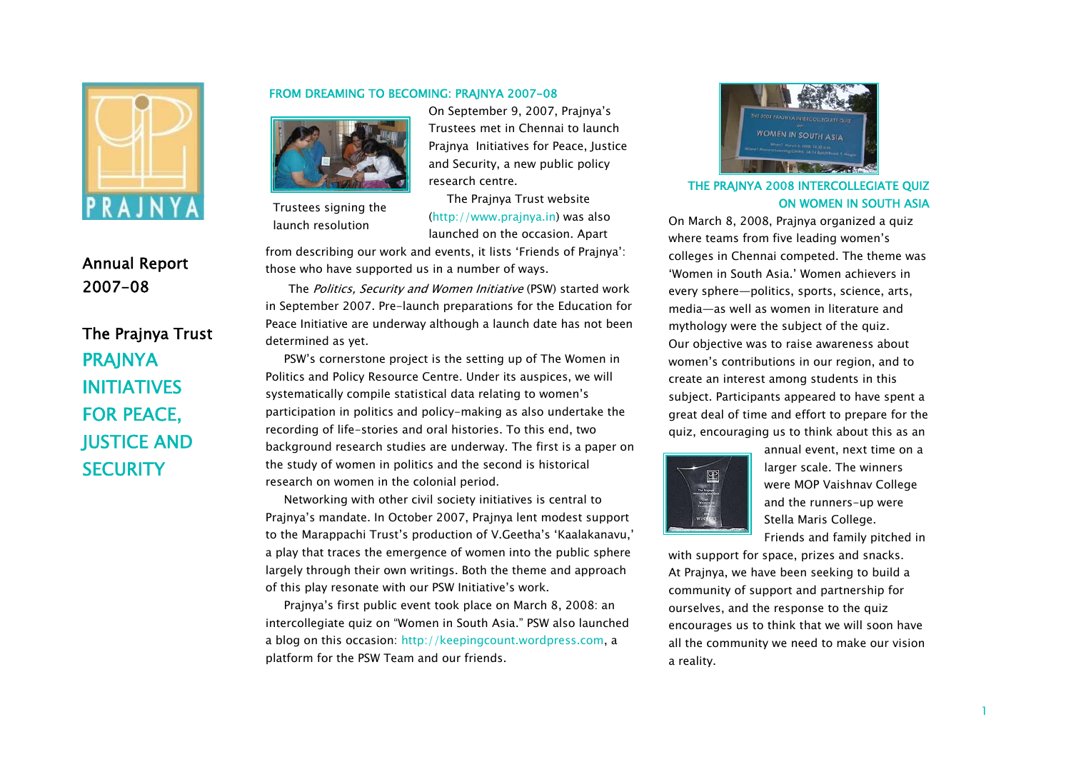

# Annual Report 2007-08

The Prajnya Trust PRAJNYA **INITIATIVES** FOR PEACE, JUSTICE AND **SECURITY** 

#### FROM DREAMING TO BECOMING: PRAJNYA 2007-08



Trustees signing the launch resolution

On September 9, 2007, Prajnya's Trustees met in Chennai to launch Prajnya Initiatives for Peace, Justice and Security, a new public policy research centre.

The Prajnya Trust website (http://www.prajnya.in) was also launched on the occasion. Apart

from describing our work and events, it lists 'Friends of Prajnya': those who have supported us in a number of ways.

The Politics, Security and Women Initiative (PSW) started work in September 2007. Pre-launch preparations for the Education for Peace Initiative are underway although a launch date has not been determined as yet.

PSW's cornerstone project is the setting up of The Women in Politics and Policy Resource Centre. Under its auspices, we will systematically compile statistical data relating to women's participation in politics and policy-making as also undertake the recording of life-stories and oral histories. To this end, two background research studies are underway. The first is a paper on the study of women in politics and the second is historical research on women in the colonial period.

Networking with other civil society initiatives is central to Prajnya's mandate. In October 2007, Prajnya lent modest support to the Marappachi Trust's production of V.Geetha's 'Kaalakanavu,' a play that traces the emergence of women into the public sphere largely through their own writings. Both the theme and approach of this play resonate with our PSW Initiative's work.

Prajnya's first public event took place on March 8, 2008: an intercollegiate quiz on "Women in South Asia." PSW also launched a blog on this occasion: http://keepingcount.wordpress.com, a platform for the PSW Team and our friends.



## THE PRAJNYA 2008 INTERCOLLEGIATE QUIZ ON WOMEN IN SOUTH ASIA

On March 8, 2008, Prajnya organized a quiz where teams from five leading women's colleges in Chennai competed. The theme was 'Women in South Asia.' Women achievers inevery sphere—politics, sports, science, arts, media—as well as women in literature and mythology were the subject of the quiz. Our objective was to raise awareness about women's contributions in our region, and to create an interest among students in this subject. Participants appeared to have spent a great deal of time and effort to prepare for the quiz, encouraging us to think about this as an



annual event, next time on <sup>a</sup> larger scale. The winners were MOP Vaishnav College and the runners-up were Stella Maris College. Friends and family pitched in

with support for space, prizes and snacks. At Prajnya, we have been seeking to build a community of support and partnership for ourselves, and the response to the quiz encourages us to think that we will soon have all the community we need to make our vision a reality.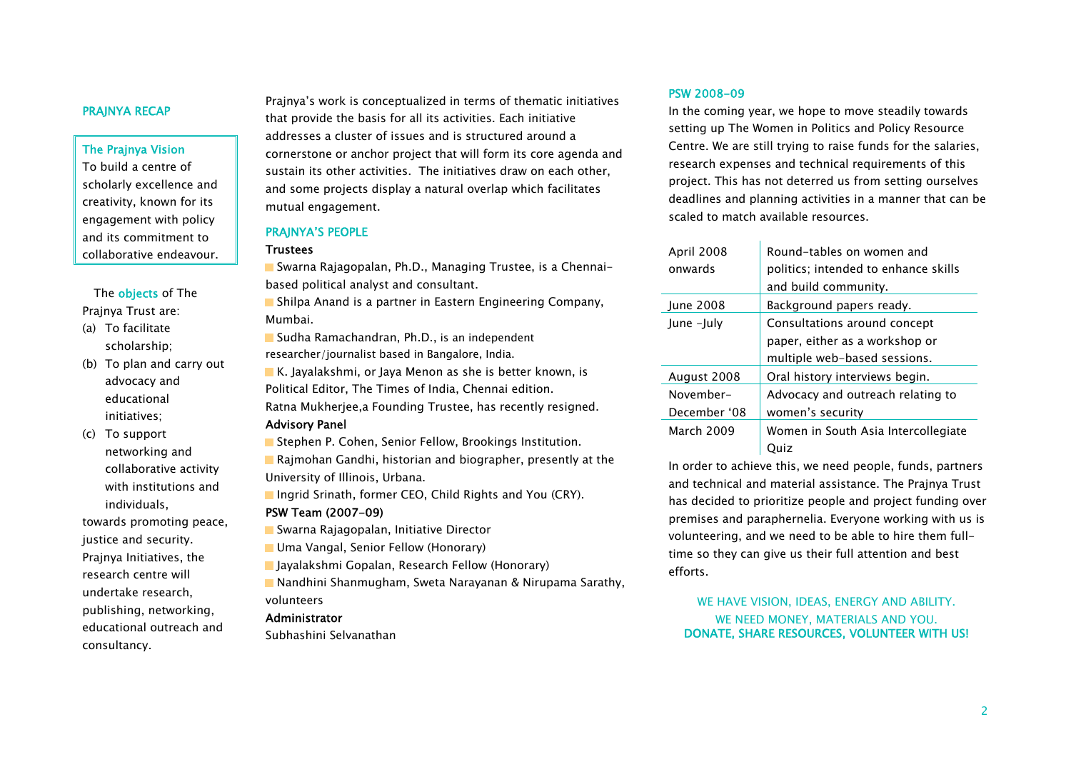## PRAJN YA RECAP

## The Prajnya Vision

To build a centre of scholarly e xcellence and creativity, known for its engagement with policy and its commitment to collaborative endeavour.

The objects of The Prajnya Trust are:

- (a) To facilitate scholarship;
- (b) To plan and carry out advocacy and educational initiatives;
- (c) To support networking and collaborative activity with institutions andindividuals,

towards promoting peace, justice and security. Prajnya Initiatives, the research centre will undertake research, publishing, networking, educational outreach and consultancy.

Prajnya's w ork is conceptualized in terms of the matic initiatives that provide the basis for all its activities. Each initiative addresses a cluster of issues and is structured around a cornerstone or anchor project that will f orm its core agenda and sustain its other activities. The initiatives draw on each other, and some projects display a natural overlap which facilitates mutual engagement.

#### PRAJN YA'S PEOPLE

## **Trustees**

Swarna Rajagopalan, Ph.D., Managing Trustee, is a Chennaibased political analyst and consultant.

**Shilpa Anand is a partner in Eastern Engineering Company,** Mumbai.

■ Sudha Ramachandran, Ph.D., is an independent researcher/journalist based in Bangalore, India.

**K.** Jayalakshmi, or Jaya Menon as she is better known, is Political Editor, The Times of India, Chennai edition. Ratna Mukherjee,a F ounding Trustee, has recentl y resigned.

#### Advisor y Panel

Stephen P. Cohen, Senior Fellow, Brookings Instituti on.

Rajmohan Gandhi, historian and biographer, presently at the University of Illinois, Urbana.

■ Ingrid Srinath, former CEO, Child Rights and You (CRY).

#### PSW Team (2007-09)

- Swarna Rajagopalan, Initiative Director
- Uma Vangal, Senior Fellow (Honorary)
- Jayalakshmi G opalan, Research Fellow (Honorary)

Nandhini Shanmugham, Sweta Narayanan & Nirupama Sarathy, volunteers

#### Administrator

Subhashini Selvanathan

## PSW 2008-09

In the coming year, we hope to move steadily towards setting up The Women in Politics and Policy Resource Centre. We are still trying t o raise funds for the salaries, research expenses and technical require ments of this project. This has not deterred us fro m setting ourselves deadlines and planning activities in a manner that can be scaled to match available resources.

| April 2008   | Round-tables on women and            |
|--------------|--------------------------------------|
| onwards      | politics; intended to enhance skills |
|              | and build community.                 |
| June 2008    | Background papers ready.             |
| June -July   | Consultations around concept         |
|              | paper, either as a workshop or       |
|              | multiple web-based sessions.         |
| August 2008  | Oral history interviews begin.       |
| November-    | Advocacy and outreach relating to    |
| December '08 | women's security                     |
| March 2009   | Women in South Asia Intercollegiate  |
|              | Ouiz                                 |

In order to achieve this, we need people, funds, partners and technical and material assistance. The Prajnya Trust has decided t o prioritize people and project funding o ver premises and paraphernelia. Ever y one working with us is volunteering, and we need to be able to hire them fulltime so they can give us their full attention and best efforts.

WE HAVE VISION, IDEAS, ENERGY AND ABILITY. WE NEE D MONEY, MATERIALS AND YO U. DONATE, SHARE RESOURCES, VOLUNTEER WITH US!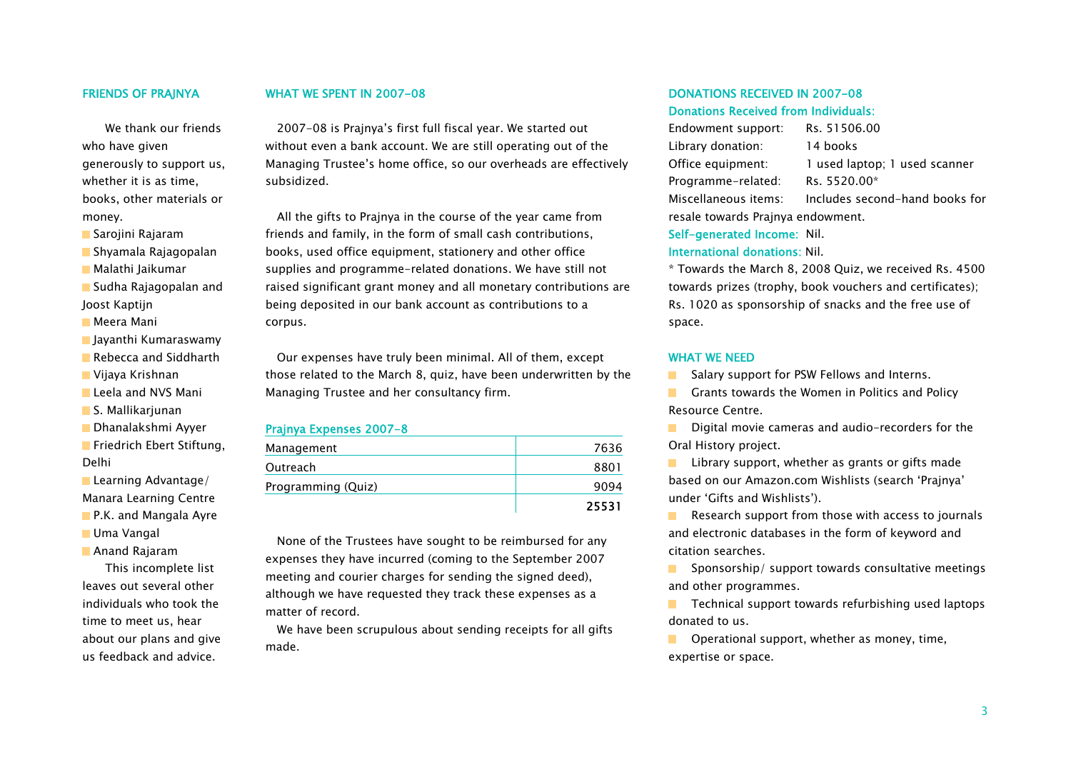#### FRIENDS OF PRAJNYA

We thank our friendswho have given generously to support us, whether it is as time, books, other materials or money.

- Sarojini Rajaram
- Shyamala Rajagopalan
- Malathi Jaikumar

 Sudha Rajagopalan and Joost Kaptijn

- Meera Mani
- Jayanthi Kumaraswamy
- Rebecca and Siddharth
- Vijaya Krishnan
- Leela and NVS Mani
- S. Mallikarjunan
- Dhanalakshmi Ayyer

**Friedrich Ebert Stiftung,** Delhi

**Learning Advantage/** Manara Learning Centre

**P.K. and Mangala Ayre** 

■ Uma Vangal

Anand Rajaram

This incomplete list leaves out several other individuals who took the time to meet us, hear about our plans and give us feedback and advice.

## WHAT WE SPENT IN 2007-08

2007-08 is Prajnya's first full fiscal year. We started out without even a bank account. We are still operating out of the Managing Trustee's home office, so our overheads are effectively subsidized.

All the gifts to Prajnya in the course of the year came from friends and family, in the form of small cash contributions, books, used office equipment, stationery and other office supplies and programme-related donations. We have still not raised significant grant money and all monetary contributions are being deposited in our bank account as contributions to a corpus.

Our expenses have truly been minimal. All of them, except those related to the March 8, quiz, have been underwritten by the Managing Trustee and her consultancy firm.

#### Prajnya Expenses 2007-8

| Management         | 7636  |
|--------------------|-------|
| Outreach           | 8801  |
| Programming (Quiz) | 9094  |
|                    | 25531 |

None of the Trustees have sought to be reimbursed for any expenses they have incurred (coming to the September 2007 meeting and courier charges for sending the signed deed), although we have requested they track these expenses as a matter of record.

We have been scrupulous about sending receipts for all gifts made.

## DONATIONS RECEIVED IN 2007-08 Donations Received from Individuals:

| Endowment support:                | Rs. 51506.00                   |  |
|-----------------------------------|--------------------------------|--|
| Library donation:                 | 14 books                       |  |
| Office equipment:                 | 1 used laptop; 1 used scanner  |  |
| Programme-related:                | Rs. 5520.00*                   |  |
| Miscellaneous items:              | Includes second-hand books for |  |
| resale towards Prajnya endowment. |                                |  |

Self-generated Income: Nil.

#### International donations: Nil.

\* Towards the March 8, 2008 Quiz, we received Rs. 4500 towards prizes (trophy, book vouchers and certificates); Rs. 1020 as sponsorship of snacks and the free use of space.

#### WHAT WE NEED

Salary support for PSW Fellows and Interns. 

 $\mathcal{L}_{\mathcal{A}}$ Grants towards the Women in Politics and Policy Resource Centre.

Digital movie cameras and audio-recorders for the Oral History project.

Library support, whether as grants or gifts made  $\mathcal{L}_{\mathcal{A}}$ based on our Amazon.com Wishlists (search 'Prajnya' under 'Gifts and Wishlists').

 $\blacksquare$  Research support from those with access to journals and electronic databases in the form of keyword and citation searches.

 $\mathcal{L}_{\mathcal{A}}$ Sponsorship/ support towards consultative meetings and other programmes.

 $\blacksquare$  Technical support towards refurbishing used laptops donated to us.

Operational support, whether as money, time,  $\sim 100$ expertise or space.